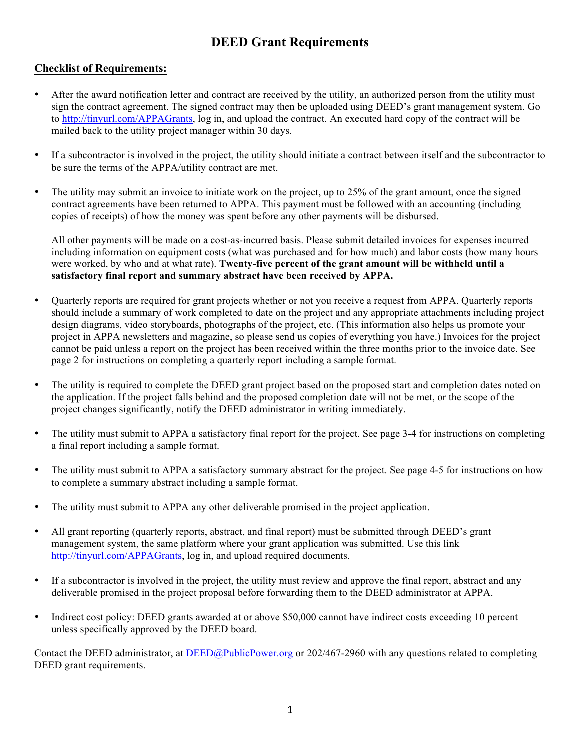# **DEED Grant Requirements**

#### **Checklist of Requirements:**

- After the award notification letter and contract are received by the utility, an authorized person from the utility must sign the contract agreement. The signed contract may then be uploaded using DEED's grant management system. Go to http://tinyurl.com/APPAGrants, log in, and upload the contract. An executed hard copy of the contract will be mailed back to the utility project manager within 30 days.
- If a subcontractor is involved in the project, the utility should initiate a contract between itself and the subcontractor to be sure the terms of the APPA/utility contract are met.
- The utility may submit an invoice to initiate work on the project, up to 25% of the grant amount, once the signed contract agreements have been returned to APPA. This payment must be followed with an accounting (including copies of receipts) of how the money was spent before any other payments will be disbursed.

All other payments will be made on a cost-as-incurred basis. Please submit detailed invoices for expenses incurred including information on equipment costs (what was purchased and for how much) and labor costs (how many hours were worked, by who and at what rate). **Twenty-five percent of the grant amount will be withheld until a satisfactory final report and summary abstract have been received by APPA.**

- Quarterly reports are required for grant projects whether or not you receive a request from APPA. Quarterly reports should include a summary of work completed to date on the project and any appropriate attachments including project design diagrams, video storyboards, photographs of the project, etc. (This information also helps us promote your project in APPA newsletters and magazine, so please send us copies of everything you have.) Invoices for the project cannot be paid unless a report on the project has been received within the three months prior to the invoice date. See page 2 for instructions on completing a quarterly report including a sample format.
- The utility is required to complete the DEED grant project based on the proposed start and completion dates noted on the application. If the project falls behind and the proposed completion date will not be met, or the scope of the project changes significantly, notify the DEED administrator in writing immediately.
- The utility must submit to APPA a satisfactory final report for the project. See page 3-4 for instructions on completing a final report including a sample format.
- The utility must submit to APPA a satisfactory summary abstract for the project. See page 4-5 for instructions on how to complete a summary abstract including a sample format.
- The utility must submit to APPA any other deliverable promised in the project application.
- All grant reporting (quarterly reports, abstract, and final report) must be submitted through DEED's grant management system, the same platform where your grant application was submitted. Use this link http://tinyurl.com/APPAGrants, log in, and upload required documents.
- If a subcontractor is involved in the project, the utility must review and approve the final report, abstract and any deliverable promised in the project proposal before forwarding them to the DEED administrator at APPA.
- Indirect cost policy: DEED grants awarded at or above \$50,000 cannot have indirect costs exceeding 10 percent unless specifically approved by the DEED board.

Contact the DEED administrator, at DEED@PublicPower.org or 202/467-2960 with any questions related to completing DEED grant requirements.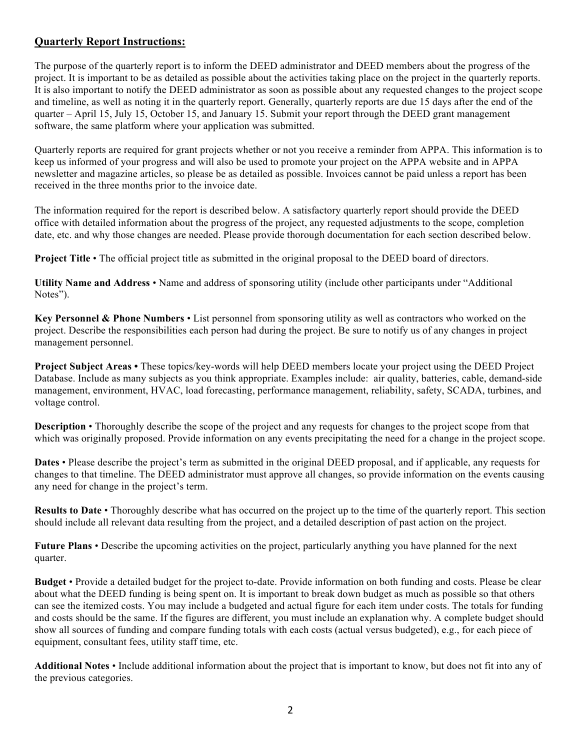## **Quarterly Report Instructions:**

The purpose of the quarterly report is to inform the DEED administrator and DEED members about the progress of the project. It is important to be as detailed as possible about the activities taking place on the project in the quarterly reports. It is also important to notify the DEED administrator as soon as possible about any requested changes to the project scope and timeline, as well as noting it in the quarterly report. Generally, quarterly reports are due 15 days after the end of the quarter – April 15, July 15, October 15, and January 15. Submit your report through the DEED grant management software, the same platform where your application was submitted.

Quarterly reports are required for grant projects whether or not you receive a reminder from APPA. This information is to keep us informed of your progress and will also be used to promote your project on the APPA website and in APPA newsletter and magazine articles, so please be as detailed as possible. Invoices cannot be paid unless a report has been received in the three months prior to the invoice date.

The information required for the report is described below. A satisfactory quarterly report should provide the DEED office with detailed information about the progress of the project, any requested adjustments to the scope, completion date, etc. and why those changes are needed. Please provide thorough documentation for each section described below.

**Project Title** • The official project title as submitted in the original proposal to the DEED board of directors.

**Utility Name and Address** • Name and address of sponsoring utility (include other participants under "Additional Notes").

**Key Personnel & Phone Numbers** • List personnel from sponsoring utility as well as contractors who worked on the project. Describe the responsibilities each person had during the project. Be sure to notify us of any changes in project management personnel.

**Project Subject Areas •** These topics/key-words will help DEED members locate your project using the DEED Project Database. Include as many subjects as you think appropriate. Examples include: air quality, batteries, cable, demand-side management, environment, HVAC, load forecasting, performance management, reliability, safety, SCADA, turbines, and voltage control.

**Description** • Thoroughly describe the scope of the project and any requests for changes to the project scope from that which was originally proposed. Provide information on any events precipitating the need for a change in the project scope.

**Dates** • Please describe the project's term as submitted in the original DEED proposal, and if applicable, any requests for changes to that timeline. The DEED administrator must approve all changes, so provide information on the events causing any need for change in the project's term.

**Results to Date** • Thoroughly describe what has occurred on the project up to the time of the quarterly report. This section should include all relevant data resulting from the project, and a detailed description of past action on the project.

**Future Plans** • Describe the upcoming activities on the project, particularly anything you have planned for the next quarter.

**Budget** • Provide a detailed budget for the project to-date. Provide information on both funding and costs. Please be clear about what the DEED funding is being spent on. It is important to break down budget as much as possible so that others can see the itemized costs. You may include a budgeted and actual figure for each item under costs. The totals for funding and costs should be the same. If the figures are different, you must include an explanation why. A complete budget should show all sources of funding and compare funding totals with each costs (actual versus budgeted), e.g., for each piece of equipment, consultant fees, utility staff time, etc.

**Additional Notes** • Include additional information about the project that is important to know, but does not fit into any of the previous categories.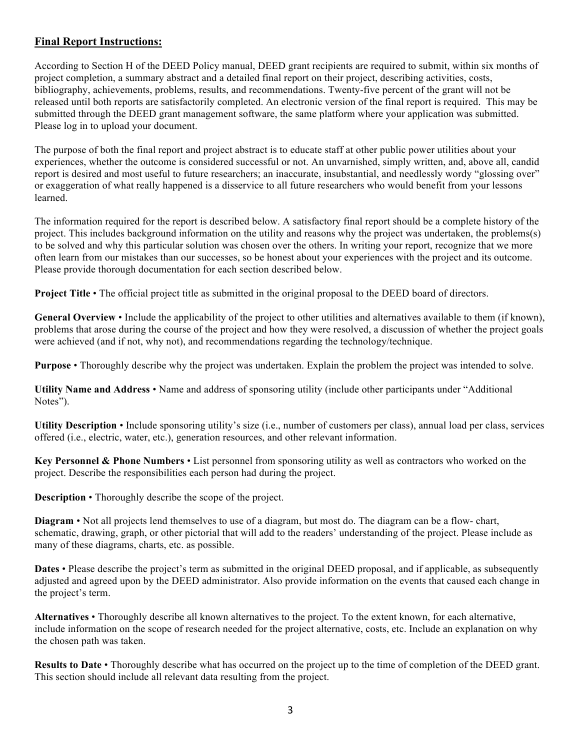## **Final Report Instructions:**

According to Section H of the DEED Policy manual, DEED grant recipients are required to submit, within six months of project completion, a summary abstract and a detailed final report on their project, describing activities, costs, bibliography, achievements, problems, results, and recommendations. Twenty-five percent of the grant will not be released until both reports are satisfactorily completed. An electronic version of the final report is required. This may be submitted through the DEED grant management software, the same platform where your application was submitted. Please log in to upload your document.

The purpose of both the final report and project abstract is to educate staff at other public power utilities about your experiences, whether the outcome is considered successful or not. An unvarnished, simply written, and, above all, candid report is desired and most useful to future researchers; an inaccurate, insubstantial, and needlessly wordy "glossing over" or exaggeration of what really happened is a disservice to all future researchers who would benefit from your lessons learned.

The information required for the report is described below. A satisfactory final report should be a complete history of the project. This includes background information on the utility and reasons why the project was undertaken, the problems(s) to be solved and why this particular solution was chosen over the others. In writing your report, recognize that we more often learn from our mistakes than our successes, so be honest about your experiences with the project and its outcome. Please provide thorough documentation for each section described below.

**Project Title** • The official project title as submitted in the original proposal to the DEED board of directors.

**General Overview** • Include the applicability of the project to other utilities and alternatives available to them (if known), problems that arose during the course of the project and how they were resolved, a discussion of whether the project goals were achieved (and if not, why not), and recommendations regarding the technology/technique.

**Purpose** • Thoroughly describe why the project was undertaken. Explain the problem the project was intended to solve.

**Utility Name and Address** • Name and address of sponsoring utility (include other participants under "Additional Notes").

**Utility Description** • Include sponsoring utility's size (i.e., number of customers per class), annual load per class, services offered (i.e., electric, water, etc.), generation resources, and other relevant information.

**Key Personnel & Phone Numbers** • List personnel from sponsoring utility as well as contractors who worked on the project. Describe the responsibilities each person had during the project.

**Description** • Thoroughly describe the scope of the project.

**Diagram** • Not all projects lend themselves to use of a diagram, but most do. The diagram can be a flow- chart, schematic, drawing, graph, or other pictorial that will add to the readers' understanding of the project. Please include as many of these diagrams, charts, etc. as possible.

**Dates** • Please describe the project's term as submitted in the original DEED proposal, and if applicable, as subsequently adjusted and agreed upon by the DEED administrator. Also provide information on the events that caused each change in the project's term.

**Alternatives** • Thoroughly describe all known alternatives to the project. To the extent known, for each alternative, include information on the scope of research needed for the project alternative, costs, etc. Include an explanation on why the chosen path was taken.

**Results to Date** • Thoroughly describe what has occurred on the project up to the time of completion of the DEED grant. This section should include all relevant data resulting from the project.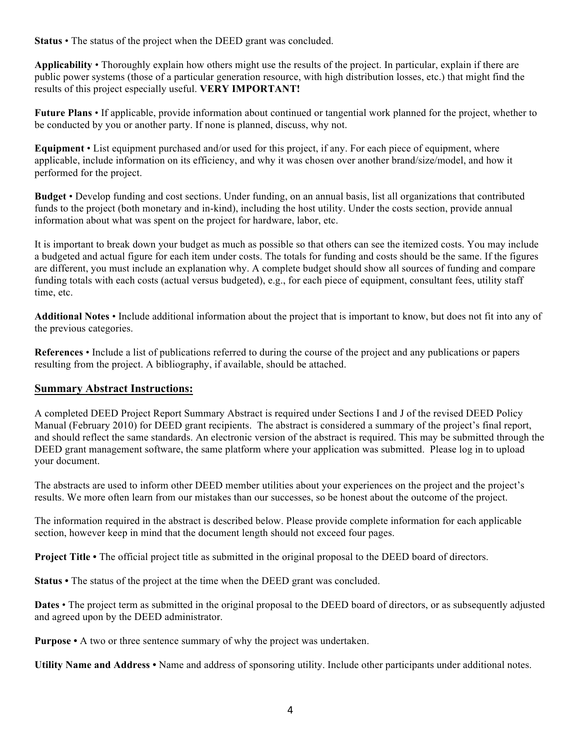**Status** • The status of the project when the DEED grant was concluded.

**Applicability** • Thoroughly explain how others might use the results of the project. In particular, explain if there are public power systems (those of a particular generation resource, with high distribution losses, etc.) that might find the results of this project especially useful. **VERY IMPORTANT!**

**Future Plans** • If applicable, provide information about continued or tangential work planned for the project, whether to be conducted by you or another party. If none is planned, discuss, why not.

**Equipment** • List equipment purchased and/or used for this project, if any. For each piece of equipment, where applicable, include information on its efficiency, and why it was chosen over another brand/size/model, and how it performed for the project.

**Budget** • Develop funding and cost sections. Under funding, on an annual basis, list all organizations that contributed funds to the project (both monetary and in-kind), including the host utility. Under the costs section, provide annual information about what was spent on the project for hardware, labor, etc.

It is important to break down your budget as much as possible so that others can see the itemized costs. You may include a budgeted and actual figure for each item under costs. The totals for funding and costs should be the same. If the figures are different, you must include an explanation why. A complete budget should show all sources of funding and compare funding totals with each costs (actual versus budgeted), e.g., for each piece of equipment, consultant fees, utility staff time, etc.

**Additional Notes** • Include additional information about the project that is important to know, but does not fit into any of the previous categories.

**References** • Include a list of publications referred to during the course of the project and any publications or papers resulting from the project. A bibliography, if available, should be attached.

### **Summary Abstract Instructions:**

A completed DEED Project Report Summary Abstract is required under Sections I and J of the revised DEED Policy Manual (February 2010) for DEED grant recipients. The abstract is considered a summary of the project's final report, and should reflect the same standards. An electronic version of the abstract is required. This may be submitted through the DEED grant management software, the same platform where your application was submitted. Please log in to upload your document.

The abstracts are used to inform other DEED member utilities about your experiences on the project and the project's results. We more often learn from our mistakes than our successes, so be honest about the outcome of the project.

The information required in the abstract is described below. Please provide complete information for each applicable section, however keep in mind that the document length should not exceed four pages.

**Project Title •** The official project title as submitted in the original proposal to the DEED board of directors.

**Status •** The status of the project at the time when the DEED grant was concluded.

Dates • The project term as submitted in the original proposal to the DEED board of directors, or as subsequently adjusted and agreed upon by the DEED administrator.

**Purpose •** A two or three sentence summary of why the project was undertaken.

**Utility Name and Address •** Name and address of sponsoring utility. Include other participants under additional notes.